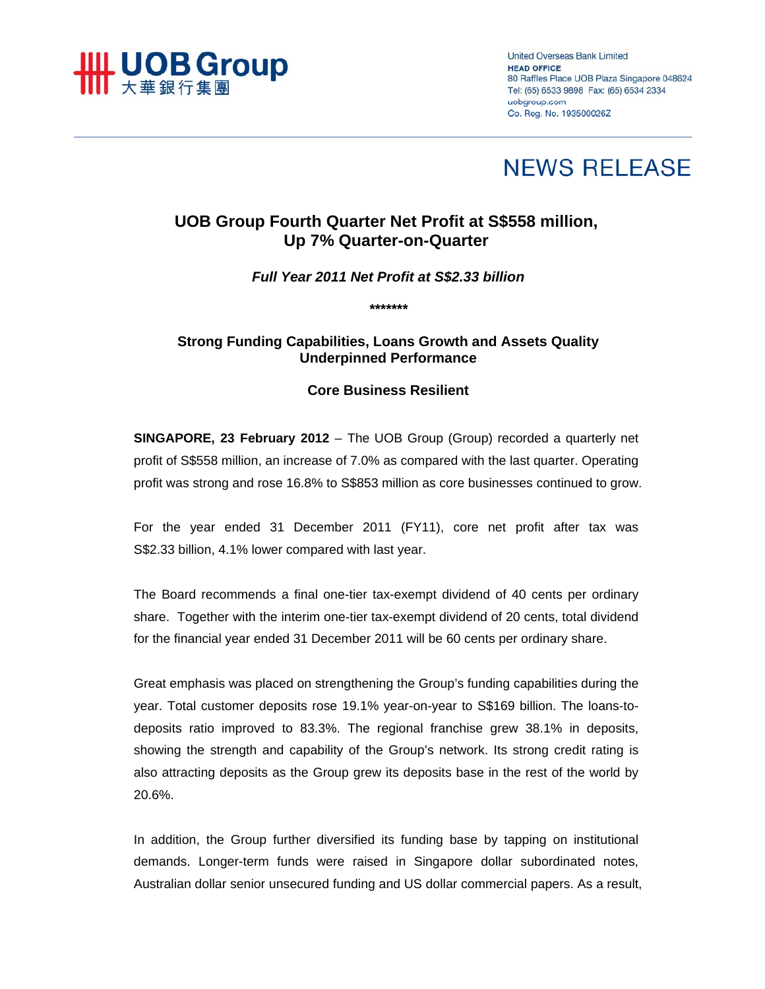

**United Overseas Bank Limited HEAD OFFICE** 80 Raffles Place UOB Plaza Singapore 048624 Tel: (65) 6533 9898 Fax: (65) 6534 2334 uobgroup.com Co. Reg. No. 193500026Z

# **NEWS RELEASE**

## **UOB Group Fourth Quarter Net Profit at S\$558 million, Up 7% Quarter-on-Quarter**

## *Full Year 2011 Net Profit at S\$2.33 billion*

*\*\*\*\*\*\*\** 

**Strong Funding Capabilities, Loans Growth and Assets Quality Underpinned Performance** 

## **Core Business Resilient**

**SINGAPORE, 23 February 2012** – The UOB Group (Group) recorded a quarterly net profit of S\$558 million, an increase of 7.0% as compared with the last quarter. Operating profit was strong and rose 16.8% to S\$853 million as core businesses continued to grow.

For the year ended 31 December 2011 (FY11), core net profit after tax was S\$2.33 billion, 4.1% lower compared with last year.

The Board recommends a final one-tier tax-exempt dividend of 40 cents per ordinary share. Together with the interim one-tier tax-exempt dividend of 20 cents, total dividend for the financial year ended 31 December 2011 will be 60 cents per ordinary share.

Great emphasis was placed on strengthening the Group's funding capabilities during the year. Total customer deposits rose 19.1% year-on-year to S\$169 billion. The loans-todeposits ratio improved to 83.3%. The regional franchise grew 38.1% in deposits, showing the strength and capability of the Group's network. Its strong credit rating is also attracting deposits as the Group grew its deposits base in the rest of the world by 20.6%.

In addition, the Group further diversified its funding base by tapping on institutional demands. Longer-term funds were raised in Singapore dollar subordinated notes, Australian dollar senior unsecured funding and US dollar commercial papers. As a result,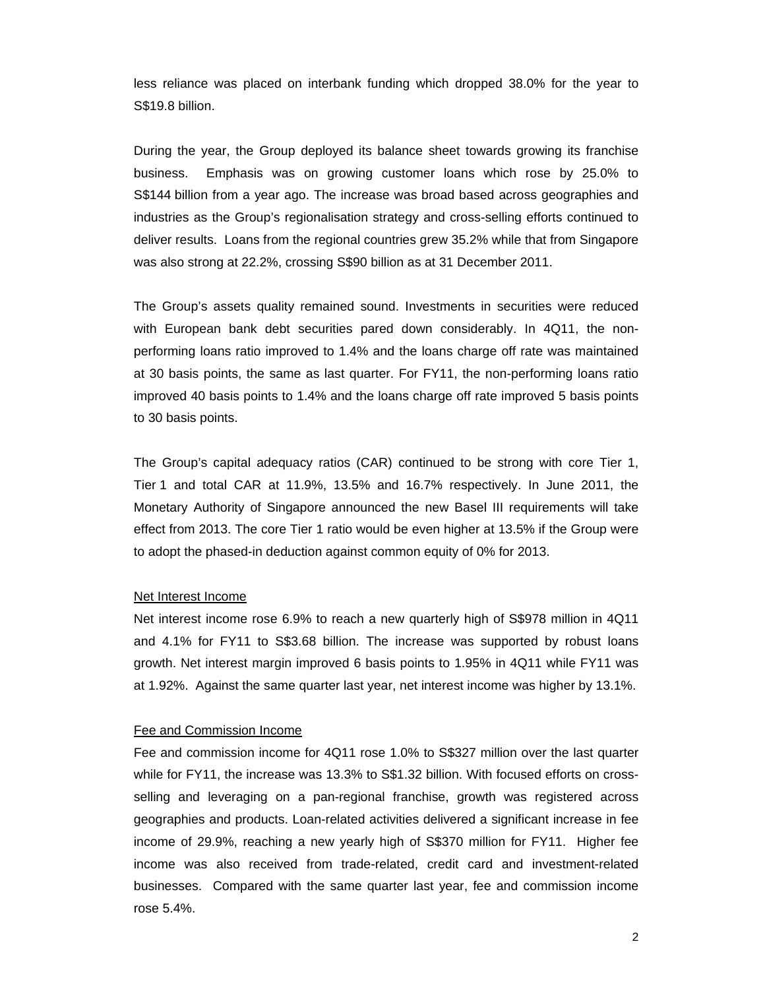less reliance was placed on interbank funding which dropped 38.0% for the year to S\$19.8 billion.

During the year, the Group deployed its balance sheet towards growing its franchise business. Emphasis was on growing customer loans which rose by 25.0% to S\$144 billion from a year ago. The increase was broad based across geographies and industries as the Group's regionalisation strategy and cross-selling efforts continued to deliver results. Loans from the regional countries grew 35.2% while that from Singapore was also strong at 22.2%, crossing S\$90 billion as at 31 December 2011.

The Group's assets quality remained sound. Investments in securities were reduced with European bank debt securities pared down considerably. In 4Q11, the nonperforming loans ratio improved to 1.4% and the loans charge off rate was maintained at 30 basis points, the same as last quarter. For FY11, the non-performing loans ratio improved 40 basis points to 1.4% and the loans charge off rate improved 5 basis points to 30 basis points.

The Group's capital adequacy ratios (CAR) continued to be strong with core Tier 1, Tier 1 and total CAR at 11.9%, 13.5% and 16.7% respectively. In June 2011, the Monetary Authority of Singapore announced the new Basel III requirements will take effect from 2013. The core Tier 1 ratio would be even higher at 13.5% if the Group were to adopt the phased-in deduction against common equity of 0% for 2013.

## Net Interest Income

Net interest income rose 6.9% to reach a new quarterly high of S\$978 million in 4Q11 and 4.1% for FY11 to S\$3.68 billion. The increase was supported by robust loans growth. Net interest margin improved 6 basis points to 1.95% in 4Q11 while FY11 was at 1.92%. Against the same quarter last year, net interest income was higher by 13.1%.

#### Fee and Commission Income

Fee and commission income for 4Q11 rose 1.0% to S\$327 million over the last quarter while for FY11, the increase was 13.3% to S\$1.32 billion. With focused efforts on crossselling and leveraging on a pan-regional franchise, growth was registered across geographies and products. Loan-related activities delivered a significant increase in fee income of 29.9%, reaching a new yearly high of S\$370 million for FY11. Higher fee income was also received from trade-related, credit card and investment-related businesses. Compared with the same quarter last year, fee and commission income rose 5.4%.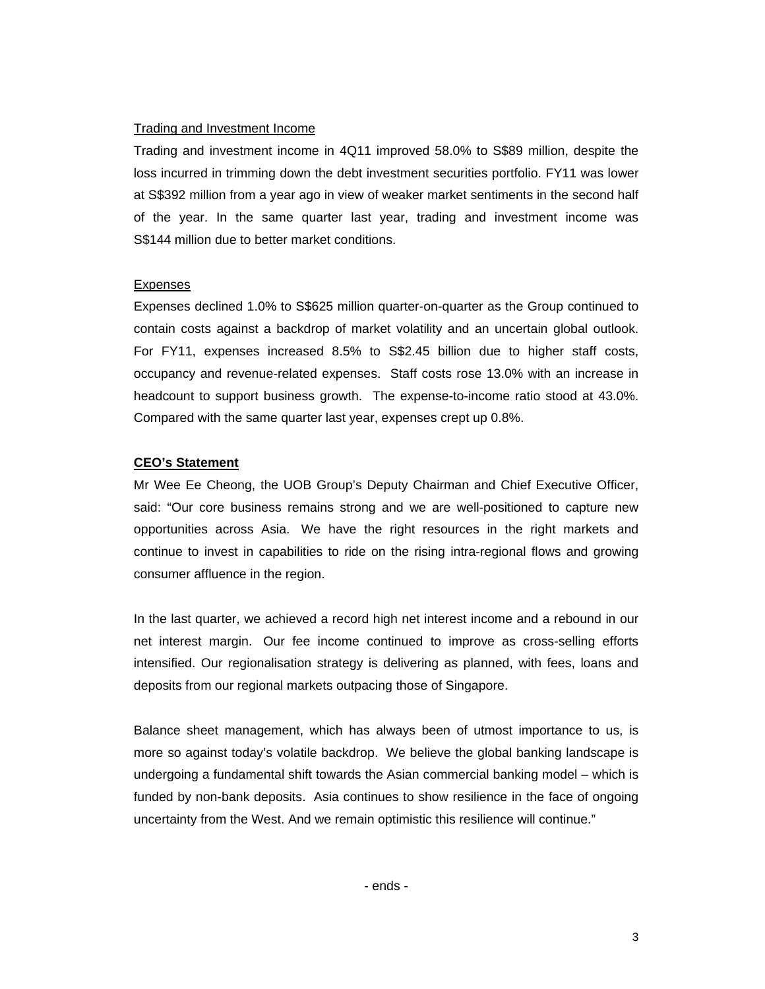## Trading and Investment Income

Trading and investment income in 4Q11 improved 58.0% to S\$89 million, despite the loss incurred in trimming down the debt investment securities portfolio. FY11 was lower at S\$392 million from a year ago in view of weaker market sentiments in the second half of the year. In the same quarter last year, trading and investment income was S\$144 million due to better market conditions.

## Expenses

Expenses declined 1.0% to S\$625 million quarter-on-quarter as the Group continued to contain costs against a backdrop of market volatility and an uncertain global outlook. For FY11, expenses increased 8.5% to S\$2.45 billion due to higher staff costs, occupancy and revenue-related expenses. Staff costs rose 13.0% with an increase in headcount to support business growth. The expense-to-income ratio stood at 43.0%. Compared with the same quarter last year, expenses crept up 0.8%.

## **CEO's Statement**

Mr Wee Ee Cheong, the UOB Group's Deputy Chairman and Chief Executive Officer, said: "Our core business remains strong and we are well-positioned to capture new opportunities across Asia. We have the right resources in the right markets and continue to invest in capabilities to ride on the rising intra-regional flows and growing consumer affluence in the region.

In the last quarter, we achieved a record high net interest income and a rebound in our net interest margin. Our fee income continued to improve as cross-selling efforts intensified. Our regionalisation strategy is delivering as planned, with fees, loans and deposits from our regional markets outpacing those of Singapore.

Balance sheet management, which has always been of utmost importance to us, is more so against today's volatile backdrop. We believe the global banking landscape is undergoing a fundamental shift towards the Asian commercial banking model – which is funded by non-bank deposits. Asia continues to show resilience in the face of ongoing uncertainty from the West. And we remain optimistic this resilience will continue."